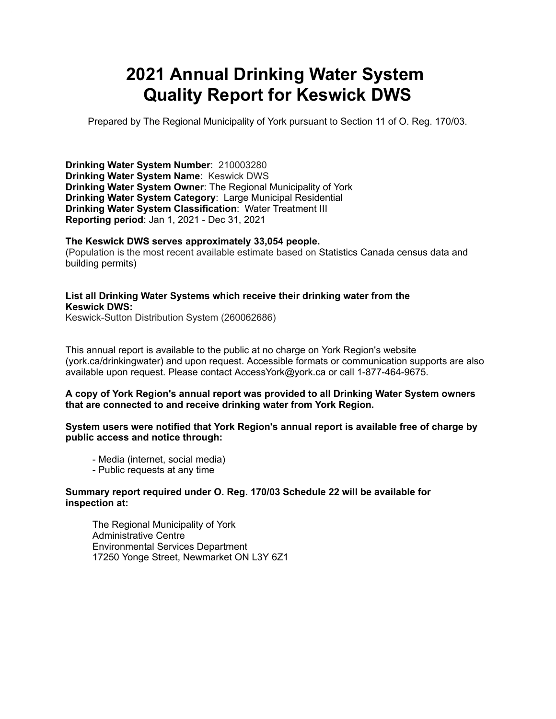# **2021 Annual Drinking Water System Quality Report for Keswick DWS**

Prepared by The Regional Municipality of York pursuant to Section 11 of O. Reg. 170/03.

**Drinking Water System Number**: 210003280 **Drinking Water System Name**: Keswick DWS **Drinking Water System Owner**: The Regional Municipality of York **Drinking Water System Category**: Large Municipal Residential **Drinking Water System Classification**: Water Treatment III **Reporting period**: Jan 1, 2021 - Dec 31, 2021

#### **The Keswick DWS serves approximately 33,054 people.**

(Population is the most recent available estimate based on Statistics Canada census data and building permits)

#### **List all Drinking Water Systems which receive their drinking water from the Keswick DWS:**

Keswick-Sutton Distribution System (260062686)

This annual report is available to the public at no charge on York Region's website (york.ca/drinkingwater) and upon request. Accessible formats or communication supports are also available upon request. Please contact [AccessYork@york.ca](mailto:AccessYork@york.ca) or call 1-877-464-9675.

#### **A copy of York Region's annual report was provided to all Drinking Water System owners that are connected to and receive drinking water from York Region.**

#### **System users were notified that York Region's annual report is available free of charge by public access and notice through:**

- Media (internet, social media)
- Public requests at any time

#### **Summary report required under O. Reg. 170/03 Schedule 22 will be available for inspection at:**

 The Regional Municipality of York Administrative Centre Environmental Services Department 17250 Yonge Street, Newmarket ON L3Y 6Z1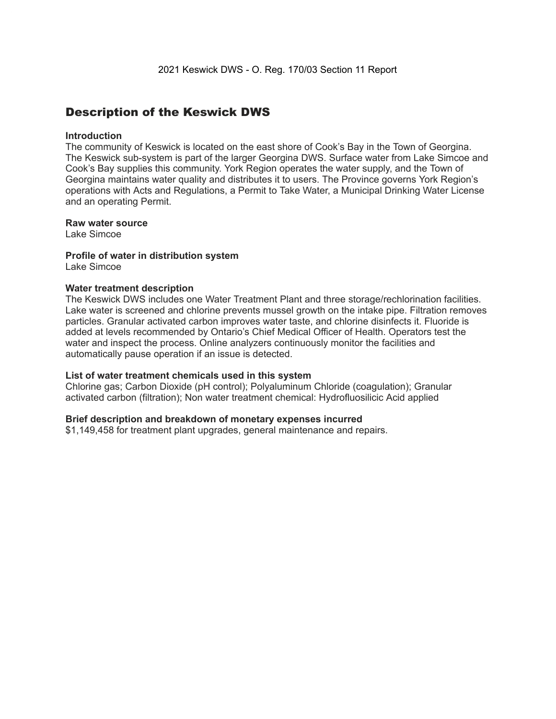### Description of the Keswick DWS

#### **Introduction**

The community of Keswick is located on the east shore of Cook's Bay in the Town of Georgina. The Keswick sub-system is part of the larger Georgina DWS. Surface water from Lake Simcoe and Cook's Bay supplies this community. York Region operates the water supply, and the Town of Georgina maintains water quality and distributes it to users. The Province governs York Region's operations with Acts and Regulations, a Permit to Take Water, a Municipal Drinking Water License and an operating Permit.

#### **Raw water source**

Lake Simcoe

### **Profile of water in distribution system**

Lake Simcoe

#### **Water treatment description**

The Keswick DWS includes one Water Treatment Plant and three storage/rechlorination facilities. Lake water is screened and chlorine prevents mussel growth on the intake pipe. Filtration removes particles. Granular activated carbon improves water taste, and chlorine disinfects it. Fluoride is added at levels recommended by Ontario's Chief Medical Officer of Health. Operators test the water and inspect the process. Online analyzers continuously monitor the facilities and automatically pause operation if an issue is detected.

#### **List of water treatment chemicals used in this system**

Chlorine gas; Carbon Dioxide (pH control); Polyaluminum Chloride (coagulation); Granular activated carbon (filtration); Non water treatment chemical: Hydrofluosilicic Acid applied

#### **Brief description and breakdown of monetary expenses incurred**

\$1,149,458 for treatment plant upgrades, general maintenance and repairs.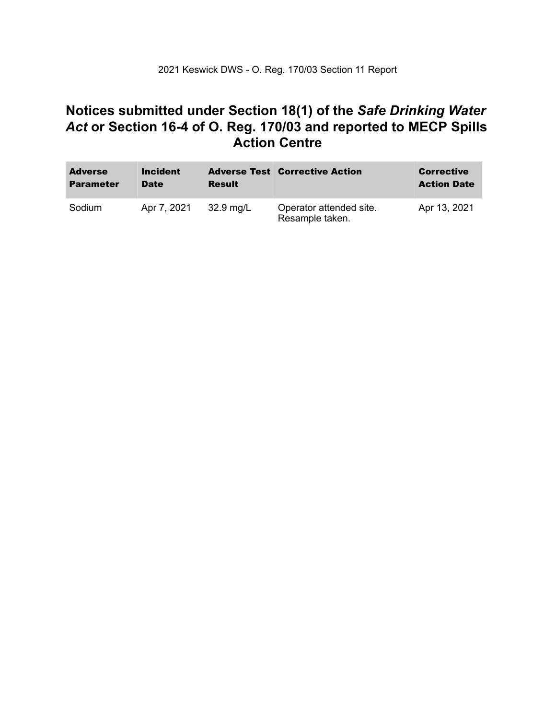### **Notices submitted under Section 18(1) of the** *Safe Drinking Water*  *Act* **or Section 16-4 of O. Reg. 170/03 and reported to MECP Spills Action Centre**

| <b>Adverse</b><br><b>Parameter</b> | <b>Incident</b><br><b>Date</b> | <b>Result</b> | <b>Adverse Test Corrective Action</b>      | <b>Corrective</b><br><b>Action Date</b> |
|------------------------------------|--------------------------------|---------------|--------------------------------------------|-----------------------------------------|
| Sodium                             | Apr 7, 2021                    | 32.9 mg/L     | Operator attended site.<br>Resample taken. | Apr 13, 2021                            |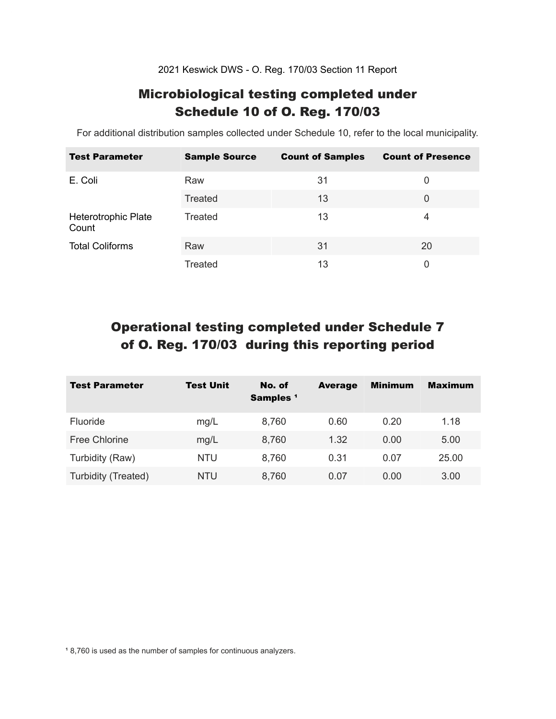2021 Keswick DWS - O. Reg. 170/03 Section 11 Report

### Microbiological testing completed under Schedule 10 of O. Reg. 170/03

For additional distribution samples collected under Schedule 10, refer to the local municipality.

| <b>Test Parameter</b>        | <b>Sample Source</b> | <b>Count of Samples</b> | <b>Count of Presence</b> |
|------------------------------|----------------------|-------------------------|--------------------------|
| E. Coli                      | Raw                  | 31                      | 0                        |
|                              | Treated              | 13                      | 0                        |
| Heterotrophic Plate<br>Count | Treated              | 13                      | 4                        |
| <b>Total Coliforms</b>       | Raw                  | 31                      | 20                       |
|                              | Treated              | 13                      | 0                        |

## Operational testing completed under Schedule 7 of O. Reg. 170/03 during this reporting period

| <b>Test Parameter</b> | <b>Test Unit</b> | No. of<br>Samples <sup>1</sup> | <b>Average</b> | <b>Minimum</b> | <b>Maximum</b> |
|-----------------------|------------------|--------------------------------|----------------|----------------|----------------|
| <b>Fluoride</b>       | mg/L             | 8,760                          | 0.60           | 0.20           | 1.18           |
| Free Chlorine         | mg/L             | 8,760                          | 1.32           | 0.00           | 5.00           |
| Turbidity (Raw)       | <b>NTU</b>       | 8,760                          | 0.31           | 0.07           | 25.00          |
| Turbidity (Treated)   | NTU              | 8,760                          | 0.07           | 0.00           | 3.00           |

<sup>1</sup> 8,760 is used as the number of samples for continuous analyzers.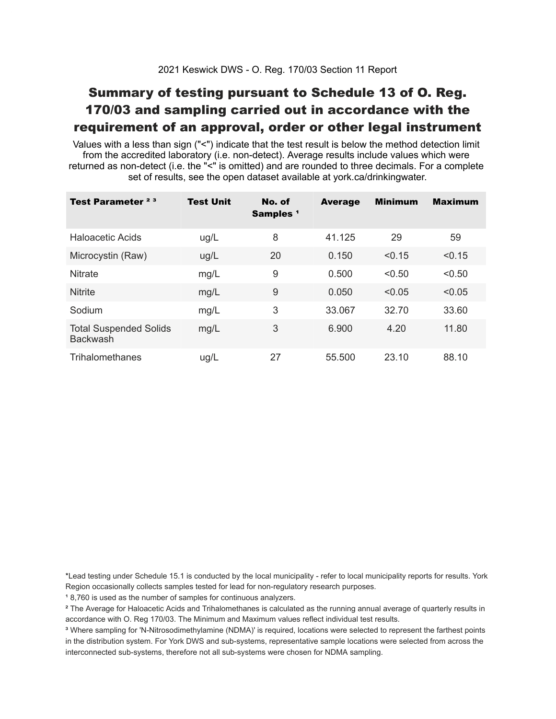## Summary of testing pursuant to Schedule 13 of O. Reg. 170/03 and sampling carried out in accordance with the requirement of an approval, order or other legal instrument

 Values with a less than sign ("<") indicate that the test result is below the method detection limit from the accredited laboratory (i.e. non-detect). Average results include values which were returned as non-detect (i.e. the "<" is omitted) and are rounded to three decimals. For a complete set of results, see the open dataset available at york.ca/drinkingwater.

| Test Parameter <sup>23</sup>                     | <b>Test Unit</b> | No. of<br>Samples <sup>1</sup> | <b>Average</b> | <b>Minimum</b> | <b>Maximum</b> |
|--------------------------------------------------|------------------|--------------------------------|----------------|----------------|----------------|
| Haloacetic Acids                                 | ug/L             | 8                              | 41.125         | 29             | 59             |
| Microcystin (Raw)                                | ug/L             | 20                             | 0.150          | < 0.15         | < 0.15         |
| <b>Nitrate</b>                                   | mg/L             | 9                              | 0.500          | < 0.50         | < 0.50         |
| <b>Nitrite</b>                                   | mg/L             | 9                              | 0.050          | < 0.05         | < 0.05         |
| Sodium                                           | mg/L             | 3                              | 33.067         | 32.70          | 33.60          |
| <b>Total Suspended Solids</b><br><b>Backwash</b> | mg/L             | 3                              | 6.900          | 4.20           | 11.80          |
| Trihalomethanes                                  | ug/L             | 27                             | 55.500         | 23.10          | 88.10          |

 \*Lead testing under Schedule 15.1 is conducted by the local municipality - refer to local municipality reports for results. York Region occasionally collects samples tested for lead for non-regulatory research purposes.

<sup>1</sup>8,760 is used as the number of samples for continuous analyzers.

 $\mathrm{^2}$  The Average for Haloacetic Acids and Trihalomethanes is calculated as the running annual average of quarterly results in accordance with O. Reg 170/03. The Minimum and Maximum values reflect individual test results.

<sup>3</sup> Where sampling for 'N-Nitrosodimethylamine (NDMA)' is required, locations were selected to represent the farthest points in the distribution system. For York DWS and sub-systems, representative sample locations were selected from across the interconnected sub-systems, therefore not all sub-systems were chosen for NDMA sampling.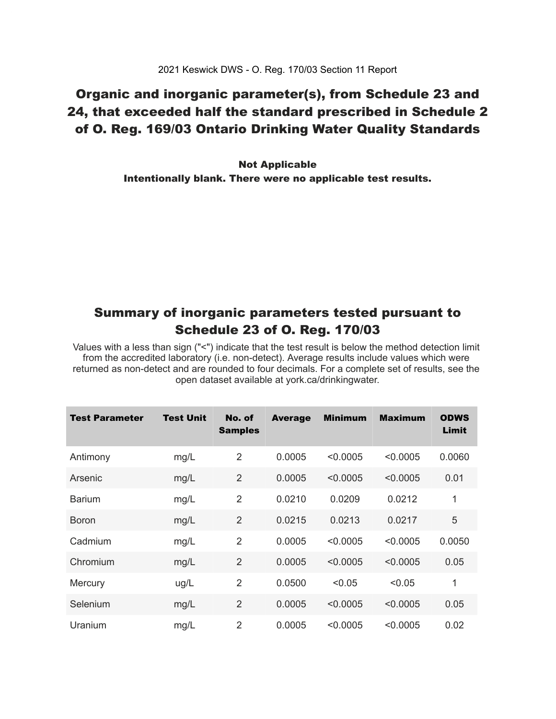## Organic and inorganic parameter(s), from Schedule 23 and 24, that exceeded half the standard prescribed in Schedule 2 of O. Reg. 169/03 Ontario Drinking Water Quality Standards

 Intentionally blank. There were no applicable test results. Not Applicable

### Summary of inorganic parameters tested pursuant to Schedule 23 of O. Reg. 170/03

 Values with a less than sign ("<") indicate that the test result is below the method detection limit from the accredited laboratory (i.e. non-detect). Average results include values which were returned as non-detect and are rounded to four decimals. For a complete set of results, see the open dataset available at york.ca/drinkingwater.

| <b>Test Parameter</b> | <b>Test Unit</b> | No. of<br><b>Samples</b> | <b>Average</b> | <b>Minimum</b> | <b>Maximum</b> | <b>ODWS</b><br>Limit |
|-----------------------|------------------|--------------------------|----------------|----------------|----------------|----------------------|
| Antimony              | mg/L             | $\overline{2}$           | 0.0005         | < 0.0005       | < 0.0005       | 0.0060               |
| Arsenic               | mg/L             | $\overline{2}$           | 0.0005         | < 0.0005       | < 0.0005       | 0.01                 |
| <b>Barium</b>         | mg/L             | $\overline{2}$           | 0.0210         | 0.0209         | 0.0212         | 1                    |
| <b>Boron</b>          | mg/L             | $\overline{2}$           | 0.0215         | 0.0213         | 0.0217         | 5                    |
| Cadmium               | mg/L             | $\overline{2}$           | 0.0005         | < 0.0005       | < 0.0005       | 0.0050               |
| Chromium              | mg/L             | $\overline{2}$           | 0.0005         | < 0.0005       | < 0.0005       | 0.05                 |
| Mercury               | ug/L             | $\overline{2}$           | 0.0500         | < 0.05         | < 0.05         | 1                    |
| Selenium              | mg/L             | $\overline{2}$           | 0.0005         | < 0.0005       | < 0.0005       | 0.05                 |
| Uranium               | mg/L             | $\overline{2}$           | 0.0005         | < 0.0005       | < 0.0005       | 0.02                 |